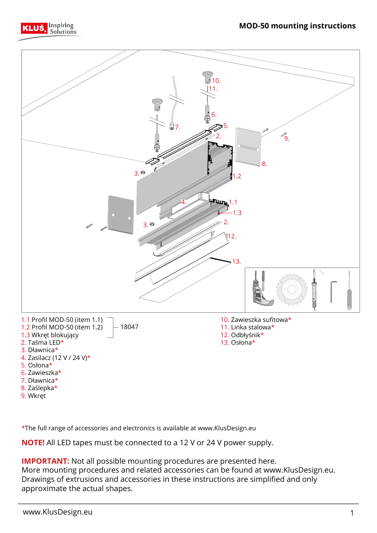



\*The full range of accessories and electronics is available at www.KlusDesign.eu

**NOTE!** All LED tapes must be connected to a 12 V or 24 V power supply.

**IMPORTANT:** Not all possible mounting procedures are presented here. More mounting procedures and related accessories can be found at www.KlusDesign.eu. Drawings of extrusions and accessories in these instructions are simplified and only approximate the actual shapes.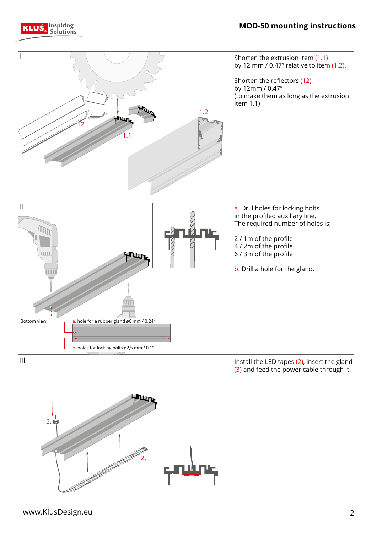



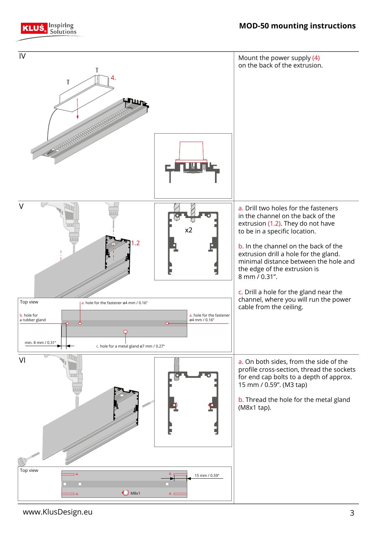

**Inspiring**<br>• Solutions

KLUŚ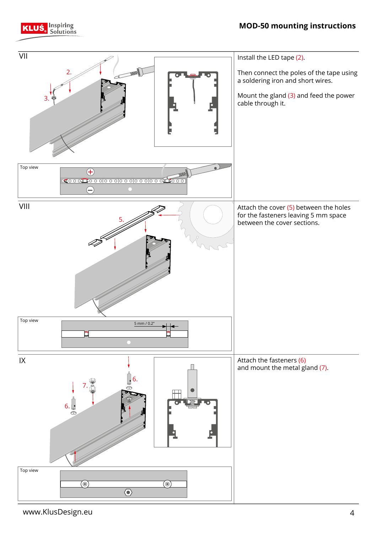

**KLUŚ** Inspiring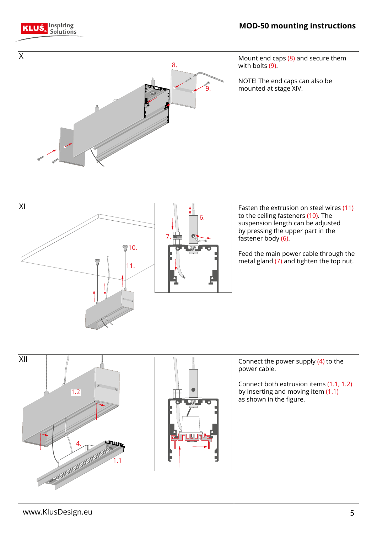



**KLUŚ** Solutions